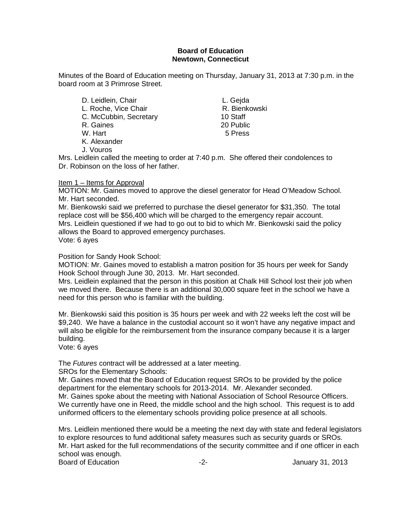## **Board of Education Newtown, Connecticut**

Minutes of the Board of Education meeting on Thursday, January 31, 2013 at 7:30 p.m. in the board room at 3 Primrose Street.

D. Leidlein, Chair **L. Gejda** L. Roche, Vice Chair **R. Bienkowski**<br>C. McCubbin, Secretary **R. Bienkowski** C. McCubbin, Secretary 10 Staff<br>R. Gaines 20 Public R. Gaines 20 Public<br>
W. Hart 5 Press W. Hart K. Alexander

J. Vouros

Mrs. Leidlein called the meeting to order at 7:40 p.m. She offered their condolences to Dr. Robinson on the loss of her father.

## Item 1 – Items for Approval

MOTION: Mr. Gaines moved to approve the diesel generator for Head O'Meadow School. Mr. Hart seconded.

Mr. Bienkowski said we preferred to purchase the diesel generator for \$31,350. The total replace cost will be \$56,400 which will be charged to the emergency repair account. Mrs. Leidlein questioned if we had to go out to bid to which Mr. Bienkowski said the policy allows the Board to approved emergency purchases. Vote: 6 ayes

## Position for Sandy Hook School:

MOTION: Mr. Gaines moved to establish a matron position for 35 hours per week for Sandy Hook School through June 30, 2013. Mr. Hart seconded.

Mrs. Leidlein explained that the person in this position at Chalk Hill School lost their job when we moved there. Because there is an additional 30,000 square feet in the school we have a need for this person who is familiar with the building.

Mr. Bienkowski said this position is 35 hours per week and with 22 weeks left the cost will be \$9,240. We have a balance in the custodial account so it won't have any negative impact and will also be eligible for the reimbursement from the insurance company because it is a larger building.

Vote: 6 ayes

The *Futures* contract will be addressed at a later meeting.

SROs for the Elementary Schools:

Mr. Gaines moved that the Board of Education request SROs to be provided by the police department for the elementary schools for 2013-2014. Mr. Alexander seconded. Mr. Gaines spoke about the meeting with National Association of School Resource Officers. We currently have one in Reed, the middle school and the high school. This request is to add uniformed officers to the elementary schools providing police presence at all schools.

Mrs. Leidlein mentioned there would be a meeting the next day with state and federal legislators to explore resources to fund additional safety measures such as security guards or SROs. Mr. Hart asked for the full recommendations of the security committee and if one officer in each school was enough. Board of Education **-2-** Figure 2. The set of Education of Education 1.2-1.2013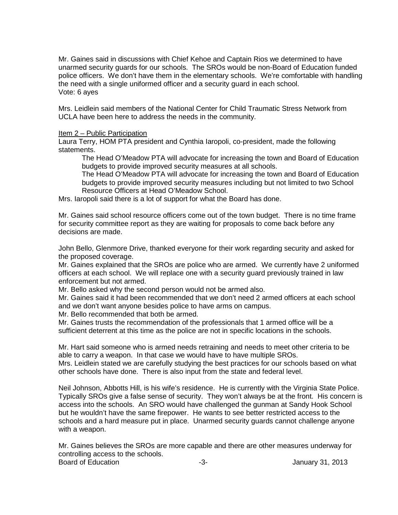Mr. Gaines said in discussions with Chief Kehoe and Captain Rios we determined to have unarmed security guards for our schools. The SROs would be non-Board of Education funded police officers. We don't have them in the elementary schools. We're comfortable with handling the need with a single uniformed officer and a security guard in each school. Vote: 6 ayes

Mrs. Leidlein said members of the National Center for Child Traumatic Stress Network from UCLA have been here to address the needs in the community.

#### Item 2 – Public Participation

Laura Terry, HOM PTA president and Cynthia Iaropoli, co-president, made the following statements.

The Head O'Meadow PTA will advocate for increasing the town and Board of Education budgets to provide improved security measures at all schools.

The Head O'Meadow PTA will advocate for increasing the town and Board of Education budgets to provide improved security measures including but not limited to two School Resource Officers at Head O'Meadow School.

Mrs. Iaropoli said there is a lot of support for what the Board has done.

Mr. Gaines said school resource officers come out of the town budget. There is no time frame for security committee report as they are waiting for proposals to come back before any decisions are made.

John Bello, Glenmore Drive, thanked everyone for their work regarding security and asked for the proposed coverage.

Mr. Gaines explained that the SROs are police who are armed. We currently have 2 uniformed officers at each school. We will replace one with a security guard previously trained in law enforcement but not armed.

Mr. Bello asked why the second person would not be armed also.

Mr. Gaines said it had been recommended that we don't need 2 armed officers at each school and we don't want anyone besides police to have arms on campus.

Mr. Bello recommended that both be armed.

Mr. Gaines trusts the recommendation of the professionals that 1 armed office will be a sufficient deterrent at this time as the police are not in specific locations in the schools.

Mr. Hart said someone who is armed needs retraining and needs to meet other criteria to be able to carry a weapon. In that case we would have to have multiple SROs. Mrs. Leidlein stated we are carefully studying the best practices for our schools based on what other schools have done. There is also input from the state and federal level.

Neil Johnson, Abbotts Hill, is his wife's residence. He is currently with the Virginia State Police. Typically SROs give a false sense of security. They won't always be at the front. His concern is access into the schools. An SRO would have challenged the gunman at Sandy Hook School but he wouldn't have the same firepower. He wants to see better restricted access to the schools and a hard measure put in place. Unarmed security guards cannot challenge anyone with a weapon.

Mr. Gaines believes the SROs are more capable and there are other measures underway for controlling access to the schools. Board of Education **-3-** Figure 2013 **January 31, 2013**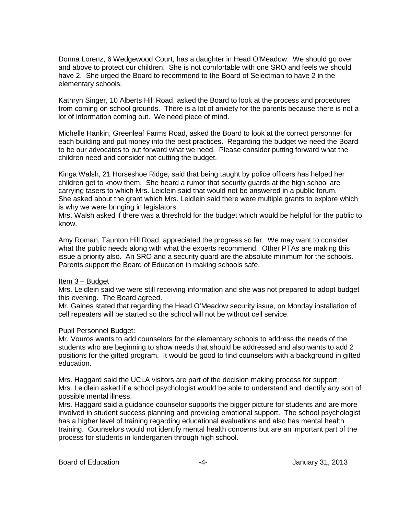Donna Lorenz, 6 Wedgewood Court, has a daughter in Head O'Meadow. We should go over and above to protect our children. She is not comfortable with one SRO and feels we should have 2. She urged the Board to recommend to the Board of Selectman to have 2 in the elementary schools.

Kathryn Singer, 10 Alberts Hill Road, asked the Board to look at the process and procedures from coming on school grounds. There is a lot of anxiety for the parents because there is not a lot of information coming out. We need piece of mind.

Michelle Hankin, Greenleaf Farms Road, asked the Board to look at the correct personnel for each building and put money into the best practices. Regarding the budget we need the Board to be our advocates to put forward what we need. Please consider putting forward what the children need and consider not cutting the budget.

Kinga Walsh, 21 Horseshoe Ridge, said that being taught by police officers has helped her children get to know them. She heard a rumor that security guards at the high school are carrying tasers to which Mrs. Leidlein said that would not be answered in a public forum. She asked about the grant which Mrs. Leidlein said there were multiple grants to explore which is why we were bringing in legislators.

Mrs. Walsh asked if there was a threshold for the budget which would be helpful for the public to know.

Amy Roman, Taunton Hill Road, appreciated the progress so far. We may want to consider what the public needs along with what the experts recommend. Other PTAs are making this issue a priority also. An SRO and a security guard are the absolute minimum for the schools. Parents support the Board of Education in making schools safe.

#### Item 3 – Budget

Mrs. Leidlein said we were still receiving information and she was not prepared to adopt budget this evening. The Board agreed.

Mr. Gaines stated that regarding the Head O'Meadow security issue, on Monday installation of cell repeaters will be started so the school will not be without cell service.

#### Pupil Personnel Budget:

Mr. Vouros wants to add counselors for the elementary schools to address the needs of the students who are beginning to show needs that should be addressed and also wants to add 2 positions for the gifted program. It would be good to find counselors with a background in gifted education.

Mrs. Haggard said the UCLA visitors are part of the decision making process for support. Mrs. Leidlein asked if a school psychologist would be able to understand and identify any sort of possible mental illness.

Mrs. Haggard said a guidance counselor supports the bigger picture for students and are more involved in student success planning and providing emotional support. The school psychologist has a higher level of training regarding educational evaluations and also has mental health training. Counselors would not identify mental health concerns but are an important part of the process for students in kindergarten through high school.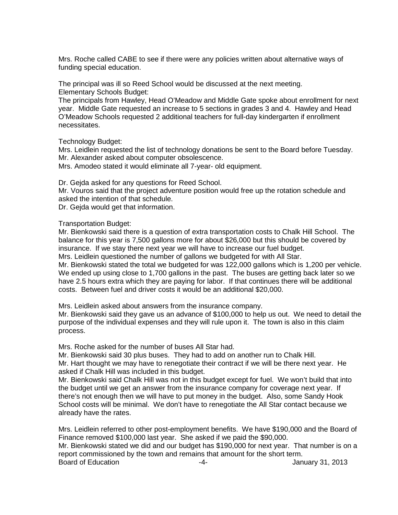Mrs. Roche called CABE to see if there were any policies written about alternative ways of funding special education.

The principal was ill so Reed School would be discussed at the next meeting. Elementary Schools Budget:

The principals from Hawley, Head O'Meadow and Middle Gate spoke about enrollment for next year. Middle Gate requested an increase to 5 sections in grades 3 and 4. Hawley and Head O'Meadow Schools requested 2 additional teachers for full-day kindergarten if enrollment necessitates.

Technology Budget:

Mrs. Leidlein requested the list of technology donations be sent to the Board before Tuesday. Mr. Alexander asked about computer obsolescence.

Mrs. Amodeo stated it would eliminate all 7-year- old equipment.

Dr. Gejda asked for any questions for Reed School.

Mr. Vouros said that the project adventure position would free up the rotation schedule and asked the intention of that schedule.

Dr. Gejda would get that information.

Transportation Budget:

Mr. Bienkowski said there is a question of extra transportation costs to Chalk Hill School. The balance for this year is 7,500 gallons more for about \$26,000 but this should be covered by insurance. If we stay there next year we will have to increase our fuel budget.

Mrs. Leidlein questioned the number of gallons we budgeted for with All Star.

Mr. Bienkowski stated the total we budgeted for was 122,000 gallons which is 1,200 per vehicle. We ended up using close to 1,700 gallons in the past. The buses are getting back later so we have 2.5 hours extra which they are paying for labor. If that continues there will be additional costs. Between fuel and driver costs it would be an additional \$20,000.

Mrs. Leidlein asked about answers from the insurance company.

Mr. Bienkowski said they gave us an advance of \$100,000 to help us out. We need to detail the purpose of the individual expenses and they will rule upon it. The town is also in this claim process.

Mrs. Roche asked for the number of buses All Star had.

Mr. Bienkowski said 30 plus buses. They had to add on another run to Chalk Hill. Mr. Hart thought we may have to renegotiate their contract if we will be there next year. He asked if Chalk Hill was included in this budget.

Mr. Bienkowski said Chalk Hill was not in this budget except for fuel. We won't build that into the budget until we get an answer from the insurance company for coverage next year. If there's not enough then we will have to put money in the budget. Also, some Sandy Hook School costs will be minimal. We don't have to renegotiate the All Star contact because we already have the rates.

Mrs. Leidlein referred to other post-employment benefits. We have \$190,000 and the Board of Finance removed \$100,000 last year. She asked if we paid the \$90,000.

Mr. Bienkowski stated we did and our budget has \$190,000 for next year. That number is on a report commissioned by the town and remains that amount for the short term.

Board of Education **Francisco Community** 10 and the set of the set of the set of the set of the set of the set of the set of the set of the set of the set of the set of the set of the set of the set of the set of the set o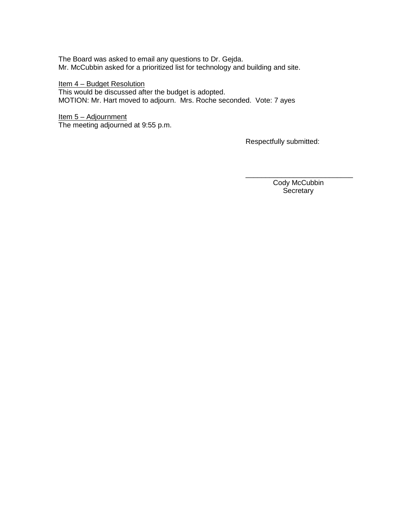The Board was asked to email any questions to Dr. Gejda. Mr. McCubbin asked for a prioritized list for technology and building and site.

Item 4 - Budget Resolution This would be discussed after the budget is adopted. MOTION: Mr. Hart moved to adjourn. Mrs. Roche seconded. Vote: 7 ayes

Item 5 - Adjournment The meeting adjourned at 9:55 p.m.

Respectfully submitted:

\_\_\_\_\_\_\_\_\_\_\_\_\_\_\_\_\_\_\_\_\_\_\_\_\_\_\_ Cody McCubbin **Secretary**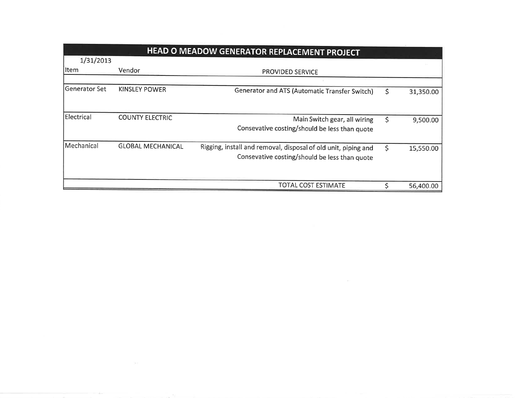|               |                          | <b>HEAD O MEADOW GENERATOR REPLACEMENT PROJECT</b>                                                              |                 |
|---------------|--------------------------|-----------------------------------------------------------------------------------------------------------------|-----------------|
| 1/31/2013     |                          |                                                                                                                 |                 |
| lltem         | <b>Vendor</b>            | <b>PROVIDED SERVICE</b>                                                                                         |                 |
| Generator Set | <b>KINSLEY POWER</b>     | Generator and ATS (Automatic Transfer Switch)                                                                   | \$<br>31,350.00 |
| Electrical    | <b>COUNTY ELECTRIC</b>   | Main Switch gear, all wiring<br>Consevative costing/should be less than quote                                   | \$<br>9,500.00  |
| Mechanical    | <b>GLOBAL MECHANICAL</b> | Rigging, install and removal, disposal of old unit, piping and<br>Consevative costing/should be less than quote | \$<br>15,550.00 |
|               |                          | TOTAL COST ESTIMATE                                                                                             | 56,400.00       |

 $\label{eq:2.1} \mathbb{D} \mathbb{D} = \{ \mathbb{D} \mid \mathbb{D} \in \mathbb{D} \mid \mathbb{D} \in \mathbb{D} \}$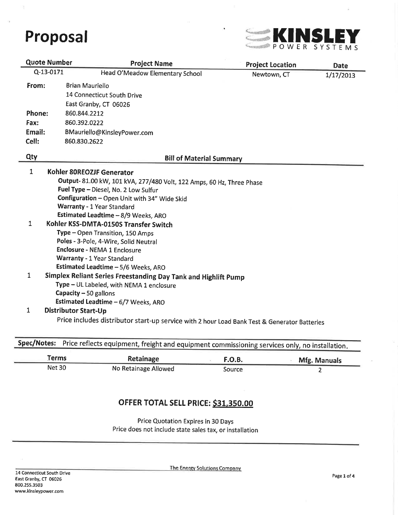

| <b>Quote Number</b>                   |  | <b>Project Name</b>                                                                          | <b>Project Location</b> | <b>Date</b> |
|---------------------------------------|--|----------------------------------------------------------------------------------------------|-------------------------|-------------|
| Q-13-0171                             |  | Head O'Meadow Elementary School                                                              | Newtown, CT             | 1/17/2013   |
| From:                                 |  | <b>Brian Mauriello</b>                                                                       |                         |             |
|                                       |  | 14 Connecticut South Drive                                                                   |                         |             |
|                                       |  | East Granby, CT 06026                                                                        |                         |             |
| Phone:                                |  | 860.844.2212                                                                                 |                         |             |
| Fax:                                  |  | 860.392.0222                                                                                 |                         |             |
| Email:                                |  | BMauriello@KinsleyPower.com                                                                  |                         |             |
| Cell:                                 |  | 860.830.2622                                                                                 |                         |             |
|                                       |  |                                                                                              |                         |             |
| Qty                                   |  | <b>Bill of Material Summary</b>                                                              |                         |             |
| 1                                     |  | Kohler 80REOZJF Generator                                                                    |                         |             |
|                                       |  | Output- 81.00 kW, 101 kVA, 277/480 Volt, 122 Amps, 60 Hz, Three Phase                        |                         |             |
|                                       |  | Fuel Type - Diesel, No. 2 Low Sulfur                                                         |                         |             |
|                                       |  | Configuration - Open Unit with 34" Wide Skid                                                 |                         |             |
|                                       |  | Warranty - 1 Year Standard                                                                   |                         |             |
|                                       |  | Estimated Leadtime - 8/9 Weeks, ARO                                                          |                         |             |
| $\mathbf{1}$                          |  | Kohler KSS-DMTA-0150S Transfer Switch                                                        |                         |             |
|                                       |  | Type - Open Transition, 150 Amps                                                             |                         |             |
| Poles - 3-Pole, 4-Wire, Solid Neutral |  |                                                                                              |                         |             |
|                                       |  | Enclosure - NEMA 1 Enclosure                                                                 |                         |             |
|                                       |  | Warranty - 1 Year Standard                                                                   |                         |             |
|                                       |  | Estimated Leadtime - 5/6 Weeks, ARO                                                          |                         |             |
| 1                                     |  | Simplex Reliant Series Freestanding Day Tank and Highlift Pump                               |                         |             |
|                                       |  | Type - UL Labeled, with NEMA 1 enclosure                                                     |                         |             |
|                                       |  | Capacity - 50 gallons                                                                        |                         |             |
|                                       |  | Estimated Leadtime - 6/7 Weeks, ARO                                                          |                         |             |
| 1                                     |  | Distributor Start-Up                                                                         |                         |             |
|                                       |  | Price includes distributor start-up service with 2 hour Load Bank Test & Generator Batteries |                         |             |
|                                       |  |                                                                                              |                         |             |
|                                       |  |                                                                                              |                         |             |

| spec/Notes: Price reflects equipment, freight and equipment commissioning services only, no installation |  |
|----------------------------------------------------------------------------------------------------------|--|
|                                                                                                          |  |

| erms          | Retainage            | <b>F.O.B.</b> | Mfg. Manuals |
|---------------|----------------------|---------------|--------------|
| <b>Net 30</b> | No Retainage Allowed | Source        |              |

# OFFER TOTAL SELL PRICE: \$31,350.00

Price Quotation Expires in 30 Days Price does not include state sales tax, or installation

The Energy Solutions Company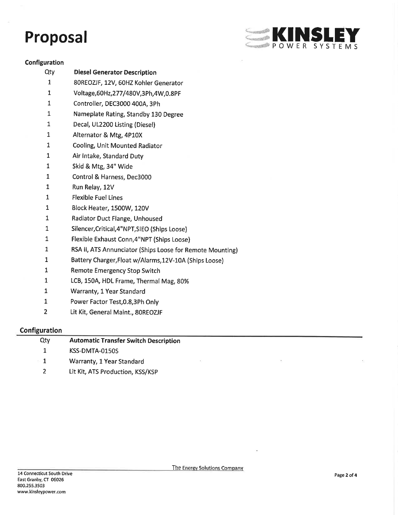

 $\sim$ 

### Configuration

Qty  $\mathbf{1}$  $\mathbf 1$  $\mathbf{1}$  $\mathbf{1}$  $\mathbf{1}$  $\mathbf 1$  $\mathbf{1}$  $\mathbf{1}$  $\mathbf 1$  $\mathbf 1$  $\mathbf{1}$  $\mathbf 1$  $\mathbf 1$  $\mathbf{1}$  $\mathbf{1}$  $\mathbf{1}$  $\overline{1}$ 

| <b>Diesel Generator Description</b>                       |
|-----------------------------------------------------------|
| 80REOZJF, 12V, 60HZ Kohler Generator                      |
| Voltage, 60Hz, 277/480V, 3Ph, 4W, 0.8PF                   |
| Controller, DEC3000 400A, 3Ph                             |
| Nameplate Rating, Standby 130 Degree                      |
| Decal, UL2200 Listing (Diesel)                            |
| Alternator & Mtg, 4P10X                                   |
| Cooling, Unit Mounted Radiator                            |
| Air Intake, Standard Duty                                 |
| Skid & Mtg, 34" Wide                                      |
| Control & Harness, Dec3000                                |
| Run Relay, 12V                                            |
| <b>Flexible Fuel Lines</b>                                |
| Block Heater, 1500W, 120V                                 |
| Radiator Duct Flange, Unhoused                            |
| Silencer, Critical, 4"NPT, SIEO (Ships Loose)             |
| Flexible Exhaust Conn, 4"NPT (Ships Loose)                |
| RSA II, ATS Annunciator (Ships Loose for Remote Mounting) |
| Battery Charger, Float w/Alarms, 12V-10A (Ships Loose)    |
| Remote Emergency Stop Switch                              |
| LCB, 150A, HDL Frame, Thermal Mag, 80%                    |
| Warranty, 1 Year Standard                                 |
| Power Factor Test, 0.8, 3Ph Only                          |

 $\overline{2}$ Lit Kit, General Maint., 80REOZJF

# Configuration

 $\mathbf{1}$  $\mathbf{1}$  $\mathbf{1}$  $\mathbf{1}$  $\mathbf 1$ 

| Qtv            | <b>Automatic Transfer Switch Description</b> |  |
|----------------|----------------------------------------------|--|
|                | KSS-DMTA-0150S                               |  |
| <b>COLLECT</b> | Warranty, 1 Year Standard                    |  |
|                | Lit Kit, ATS Production, KSS/KSP             |  |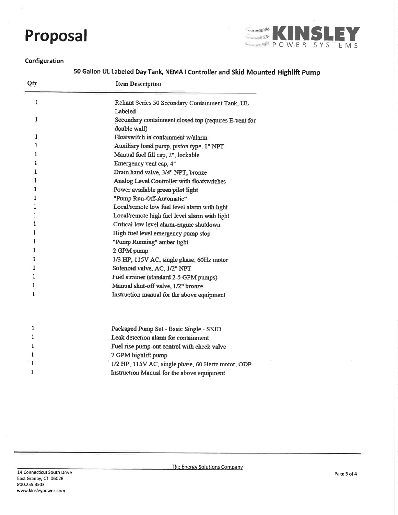

#### Configuration

50 Gallon UL Labeled Day Tank, NEMA I Controller and Skid Mounted Highlift Pump

| Qty          | <b>Item Description</b>                                               |
|--------------|-----------------------------------------------------------------------|
| $\mathbf{1}$ | Reliant Series 50 Secondary Containment Tank, UL<br>Labeled           |
| 1            | Secondary containment closed top (requires E-vent for<br>double wall) |
| $\mathbf{1}$ | Floatswitch in containment w/alarm                                    |
| 1            | Auxiliary hand pump, piston type, 1" NPT                              |
| 1            | Manual fuel fill cap, 2", lockable                                    |
| 1            | Emergency vent cap, 4"                                                |
| 1            | Drain hand valve, 3/4" NPT, bronze                                    |
| 1.           | Analog Level Controller with floatswitches                            |
| $\mathbf{1}$ | Power available green pilot light                                     |
| 1            | "Pump Run-Off-Automatic"                                              |
| 1            | Local/remote low fuel level alarm with light                          |
| 1            | Local/remote high fuel level alarm with light                         |
| 1            | Critical low level alarm-engine shutdown                              |
| 1            | High fuel level emergency pump stop                                   |
| 1            | "Pump Running" amber light                                            |
| 1            | 2 GPM pump                                                            |
| ı            | 1/3 HP, 115V AC, single phase, 60Hz motor                             |
| ı            | Solenoid valve, AC, 1/2" NPT                                          |
| 1            | Fuel strainer (standard 2-5 GPM pumps)                                |
| 1            | Manual shut-off valve, 1/2" bronze                                    |
| 1            | Instruction manual for the above equipment                            |
| 1            | Packaged Pump Set - Basic Single - SKID                               |
| 1            | Leak detection alarm for containment                                  |
| 1            | Fuel rise pump-out control with check valve                           |
| 1            | 7 GPM highlift pump                                                   |
| 1            | 1/2 HP, 115V AC, single phase, 60 Hertz motor, ODP                    |
| 1            | Instruction Manual for the above equipment                            |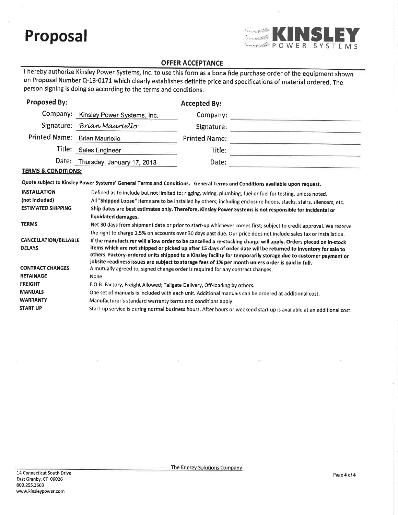

# **OFFER ACCEPTANCE**

I hereby authorize Kinsley Power Systems, Inc. to use this form as a bona fide purchase order of the equipment shown on Proposal Number Q-13-0171 which clearly establishes definite price and specifications of material ordered. The person signing is doing so according to the terms and conditions.

| <b>Proposed By:</b>                                                                                                                                                                                                                                                                                                                                                                                                                                                                                                                                                                                                             |                                                                                                                                                                                                                                                                                                                                                                         | <b>Accepted By:</b>  |                                                                                                                       |  |  |
|---------------------------------------------------------------------------------------------------------------------------------------------------------------------------------------------------------------------------------------------------------------------------------------------------------------------------------------------------------------------------------------------------------------------------------------------------------------------------------------------------------------------------------------------------------------------------------------------------------------------------------|-------------------------------------------------------------------------------------------------------------------------------------------------------------------------------------------------------------------------------------------------------------------------------------------------------------------------------------------------------------------------|----------------------|-----------------------------------------------------------------------------------------------------------------------|--|--|
|                                                                                                                                                                                                                                                                                                                                                                                                                                                                                                                                                                                                                                 | Company: Kinsley Power Systems, Inc.                                                                                                                                                                                                                                                                                                                                    | Company:             |                                                                                                                       |  |  |
|                                                                                                                                                                                                                                                                                                                                                                                                                                                                                                                                                                                                                                 | Signature: Brían Mauriello                                                                                                                                                                                                                                                                                                                                              | Signature:           |                                                                                                                       |  |  |
| Printed Name: Brian Mauriello                                                                                                                                                                                                                                                                                                                                                                                                                                                                                                                                                                                                   |                                                                                                                                                                                                                                                                                                                                                                         | <b>Printed Name:</b> |                                                                                                                       |  |  |
|                                                                                                                                                                                                                                                                                                                                                                                                                                                                                                                                                                                                                                 | Title: Sales Engineer                                                                                                                                                                                                                                                                                                                                                   | Title:               |                                                                                                                       |  |  |
| Date:                                                                                                                                                                                                                                                                                                                                                                                                                                                                                                                                                                                                                           | Thursday, January 17, 2013                                                                                                                                                                                                                                                                                                                                              | Date:                |                                                                                                                       |  |  |
| <b>TERMS &amp; CONDITIONS:</b>                                                                                                                                                                                                                                                                                                                                                                                                                                                                                                                                                                                                  |                                                                                                                                                                                                                                                                                                                                                                         |                      |                                                                                                                       |  |  |
|                                                                                                                                                                                                                                                                                                                                                                                                                                                                                                                                                                                                                                 | Quote subject to Kinsley Power Systems' General Terms and Conditions. General Terms and Conditions available upon request.                                                                                                                                                                                                                                              |                      |                                                                                                                       |  |  |
| <b>INSTALLATION</b><br>(not included)<br><b>ESTIMATED SHIPPING</b>                                                                                                                                                                                                                                                                                                                                                                                                                                                                                                                                                              | Defined as to include but not limited to; rigging, wiring, plumbing, fuel or fuel for testing, unless noted.<br>All "Shipped Loose" items are to be installed by others; including enclosure hoods, stacks, stairs, silencers, etc.<br>Ship dates are best estimates only. Therefore, Kinsley Power Systems is not responsible for incidental or<br>liquidated damages, |                      |                                                                                                                       |  |  |
| <b>TERMS</b>                                                                                                                                                                                                                                                                                                                                                                                                                                                                                                                                                                                                                    |                                                                                                                                                                                                                                                                                                                                                                         |                      | Net 30 days from shipment date or prior to start-up whichever comes first; subject to credit approval. We reserve     |  |  |
| the right to charge 1.5% on accounts over 30 days past due. Our price does not include sales tax or installation.<br><b>CANCELLATION/BILLABLE</b><br>If the manufacturer will allow order to be cancelled a re-stocking charge will apply. Orders placed on in-stock<br>items which are not shipped or picked up after 15 days of order date will be returned to inventory for sale to<br><b>DELAYS</b><br>others. Factory-ordered units shipped to a Kinsley facility for temporarily storage due to customer payment or<br>jobsite readiness issues are subject to storage fees of 1% per month unless order is paid in full. |                                                                                                                                                                                                                                                                                                                                                                         |                      |                                                                                                                       |  |  |
| <b>CONTRACT CHANGES</b><br>A mutually agreed to, signed change order is required for any contract changes.                                                                                                                                                                                                                                                                                                                                                                                                                                                                                                                      |                                                                                                                                                                                                                                                                                                                                                                         |                      |                                                                                                                       |  |  |
| <b>RETAINAGE</b><br><b>FREIGHT</b>                                                                                                                                                                                                                                                                                                                                                                                                                                                                                                                                                                                              | None                                                                                                                                                                                                                                                                                                                                                                    |                      |                                                                                                                       |  |  |
| <b>MANUALS</b>                                                                                                                                                                                                                                                                                                                                                                                                                                                                                                                                                                                                                  | F.O.B. Factory, Freight Allowed; Tailgate Delivery, Off-loading by others.                                                                                                                                                                                                                                                                                              |                      |                                                                                                                       |  |  |
| <b>WARRANTY</b>                                                                                                                                                                                                                                                                                                                                                                                                                                                                                                                                                                                                                 | Manufacturer's standard warranty terms and conditions apply.                                                                                                                                                                                                                                                                                                            |                      | One set of manuals is included with each unit. Additional manuals can be ordered at additional cost.                  |  |  |
| <b>START UP</b>                                                                                                                                                                                                                                                                                                                                                                                                                                                                                                                                                                                                                 |                                                                                                                                                                                                                                                                                                                                                                         |                      | Start-up service is during normal business hours. After hours or weekend start up is available at an additional cost. |  |  |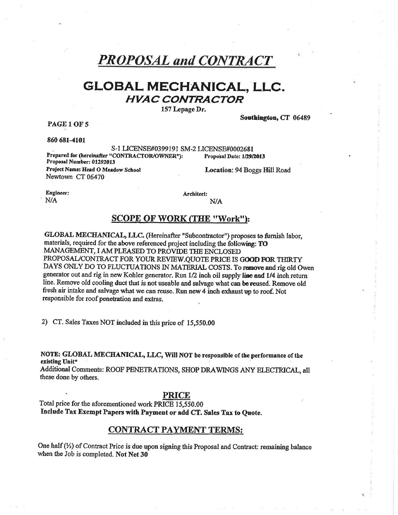# **PROPOSAL and CONTRACT**

# GLOBAL MECHANICAL, LLC. **HVAC CONTRACTOR**

157 Lepage Dr.

PAGE 1 OF 5

860 681-4101

S-1 LICENSE#0399191 SM-2 LICENSE#0002681 Prepared for (hereinafter "CONTRACTOR/OWNER"): Proposal Date: 1/29/2013 Proposal Number: 01292013

Project Name: Head O Meadow School Newtown CT 06470

Location: 94 Boggs Hill Road

Southington, CT 06489

Engineer: N/A

Architect:

 $N/A$ 

## **SCOPE OF WORK (THE "Work"):**

GLOBAL MECHANICAL, LLC. (Hereinafter "Subcontractor") proposes to furnish labor, materials, required for the above referenced project including the following: TO MANAGEMENT, I AM PLEASED TO PROVIDE THE ENCLOSED PROPOSAL/CONTRACT FOR YOUR REVIEW.QUOTE PRICE IS GOOD FOR THIRTY DAYS ONLY DO TO FLUCTUATIONS IN MATERIAL COSTS. To regnove and rig old Owen generator out and rig in new Kohler generator. Run 1/2 inch oil supply line and 1/4 inch return line. Remove old cooling duct that is not useable and salvage what can be reused. Remove old fresh air intake and salvage what we can reuse. Run new 4 inch exhaust up to roof. Not responsible for roof penetration and extras.

2) CT. Sales Taxes NOT included in this price of 15,550.00

NOTE: GLOBAL MECHANICAL, LLC, Will NOT be responsible of the performance of the existing Unit\*

Additional Comments: ROOF PENETRATIONS, SHOP DRAWINGS ANY ELECTRICAL, all these done by others.

#### PRICE

Total price for the aforementioned work PRICE 15,550.00 Include Tax Exempt Papers with Payment or add CT. Sales Tax to Quote.

#### **CONTRACT PAYMENT TERMS:**

One half  $(\frac{1}{2})$  of Contract Price is due upon signing this Proposal and Contract: remaining balance when the Job is completed. Not Net 30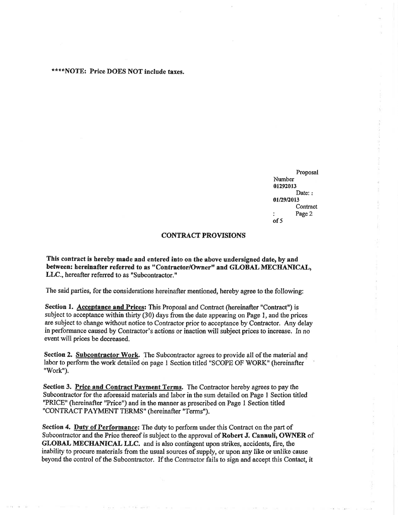#### \*\*\*\*NOTE: Price DOES NOT include taxes.

Proposal Number 01292013 Date: : 01/29/2013 Contract Page 2  $of 5$ 

#### **CONTRACT PROVISIONS**

This contract is hereby made and entered into on the above undersigned date, by and between: hereinafter referred to as "Contractor/Owner" and GLOBAL MECHANICAL, LLC., hereafter referred to as "Subcontractor."

The said parties, for the considerations hereinafter mentioned, hereby agree to the following:

Section 1. Acceptance and Prices: This Proposal and Contract (hereinafter "Contract") is subject to acceptance within thirty (30) days from the date appearing on Page 1, and the prices are subject to change without notice to Contractor prior to acceptance by Contractor. Any delay in performance caused by Contractor's actions or inaction will subject prices to increase. In no event will prices be decreased.

Section 2. Subcontractor Work. The Subcontractor agrees to provide all of the material and labor to perform the work detailed on page 1 Section titled "SCOPE OF WORK" (hereinafter "Work").

Section 3. Price and Contract Payment Terms. The Contractor hereby agrees to pay the Subcontractor for the aforesaid materials and labor in the sum detailed on Page 1 Section titled "PRICE" (hereinafter "Price") and in the manner as prescribed on Page 1 Section titled "CONTRACT PAYMENT TERMS" (hereinafter "Terms").

Section 4. Duty of Performance: The duty to perform under this Contract on the part of Subcontractor and the Price thereof is subject to the approval of Robert J. Cannuli, OWNER of GLOBAL MECHANICAL LLC. and is also contingent upon strikes, accidents, fire, the inability to procure materials from the usual sources of supply, or upon any like or unlike cause beyond the control of the Subcontractor. If the Contractor fails to sign and accept this Contact, it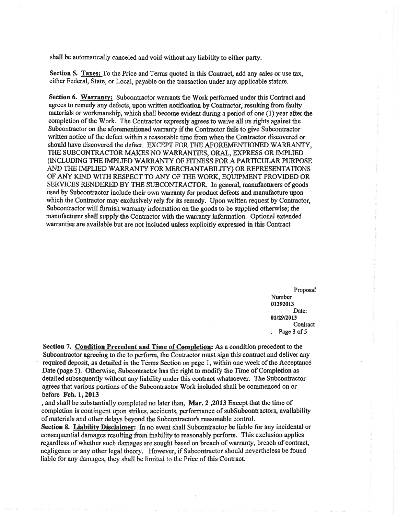shall be automatically canceled and void without any liability to either party.

Section 5. Taxes: To the Price and Terms quoted in this Contract, add any sales or use tax, either Federal, State, or Local, payable on the transaction under any applicable statute.

Section 6. Warranty: Subcontractor warrants the Work performed under this Contract and agrees to remedy any defects, upon written notification by Contractor, resulting from faulty materials or workmanship, which shall become evident during a period of one (1) year after the completion of the Work. The Contractor expressly agrees to waive all its rights against the Subcontractor on the aforementioned warranty if the Contractor fails to give Subcontractor written notice of the defect within a reasonable time from when the Contractor discovered or should have discovered the defect. EXCEPT FOR THE AFOREMENTIONED WARRANTY, THE SUBCONTRACTOR MAKES NO WARRANTIES, ORAL, EXPRESS OR IMPLIED (INCLUDING THE IMPLIED WARRANTY OF FITNESS FOR A PARTICULAR PURPOSE AND THE IMPLIED WARRANTY FOR MERCHANTABILITY) OR REPRESENTATIONS OF ANY KIND WITH RESPECT TO ANY OF THE WORK, EQUIPMENT PROVIDED OR SERVICES RENDERED BY THE SUBCONTRACTOR. In general, manufacturers of goods used by Subcontractor include their own warranty for product defects and manufacture upon which the Contractor may exclusively rely for its remedy. Upon written request by Contractor, Subcontractor will furnish warranty information on the goods to be supplied otherwise; the manufacturer shall supply the Contractor with the warranty information. Optional extended warranties are available but are not included unless explicitly expressed in this Contract

> Proposal Number 01292013 Date: 01/29/2013 Contract Page 3 of 5

Section 7. Condition Precedent and Time of Completion: As a condition precedent to the Subcontractor agreeing to the to perform, the Contractor must sign this contract and deliver any required deposit, as detailed in the Terms Section on page 1, within one week of the Acceptance Date (page 5). Otherwise, Subcontractor has the right to modify the Time of Completion as detailed subsequently without any liability under this contract whatsoever. The Subcontractor agrees that various portions of the Subcontractor Work included shall be commenced on or before Feb. 1, 2013

, and shall be substantially completed no later than, Mar. 2,2013 Except that the time of completion is contingent upon strikes, accidents, performance of subSubcontractors, availability of materials and other delays beyond the Subcontractor's reasonable control.

Section 8. Liability Disclaimer: In no event shall Subcontractor be liable for any incidental or consequential damages resulting from inability to reasonably perform. This exclusion applies regardless of whether such damages are sought based on breach of warranty, breach of contract, negligence or any other legal theory. However, if Subcontractor should nevertheless be found liable for any damages, they shall be limited to the Price of this Contract.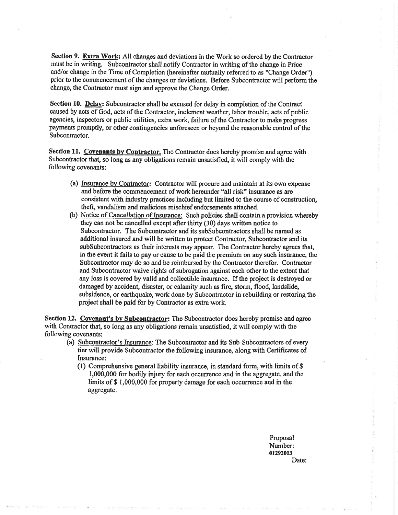Section 9. Extra Work: All changes and deviations in the Work so ordered by the Contractor must be in writing. Subcontractor shall notify Contractor in writing of the change in Price and/or change in the Time of Completion (hereinafter mutually referred to as "Change Order") prior to the commencement of the changes or deviations. Before Subcontractor will perform the change, the Contractor must sign and approve the Change Order.

Section 10. Delay: Subcontractor shall be excused for delay in completion of the Contract caused by acts of God, acts of the Contractor, inclement weather, labor trouble, acts of public agencies, inspectors or public utilities, extra work, failure of the Contractor to make progress payments promptly, or other contingencies unforeseen or beyond the reasonable control of the Subcontractor.

Section 11. Covenants by Contractor. The Contractor does hereby promise and agree with Subcontractor that, so long as any obligations remain unsatisfied, it will comply with the following covenants:

- (a) Insurance by Contractor: Contractor will procure and maintain at its own expense and before the commencement of work hereunder "all risk" insurance as are consistent with industry practices including but limited to the course of construction, theft, vandalism and malicious mischief endorsements attached.
- (b) Notice of Cancellation of Insurance: Such policies shall contain a provision whereby they can not be cancelled except after thirty (30) days written notice to Subcontractor. The Subcontractor and its subSubcontractors shall be named as additional insured and will be written to protect Contractor, Subcontractor and its subSubcontractors as their interests may appear. The Contractor hereby agrees that, in the event it fails to pay or cause to be paid the premium on any such insurance, the Subcontractor may do so and be reimbursed by the Contractor therefor. Contractor and Subcontractor waive rights of subrogation against each other to the extent that any loss is covered by valid and collectible insurance. If the project is destroyed or damaged by accident, disaster, or calamity such as fire, storm, flood, landslide, subsidence, or earthquake, work done by Subcontractor in rebuilding or restoring the project shall be paid for by Contractor as extra work.

Section 12. Covenant's by Subcontractor: The Subcontractor does hereby promise and agree with Contractor that, so long as any obligations remain unsatisfied, it will comply with the following covenants:

- (a) Subcontractor's Insurance: The Subcontractor and its Sub-Subcontractors of every tier will provide Subcontractor the following insurance, along with Certificates of Insurance:
	- (1) Comprehensive general liability insurance, in standard form, with limits of  $$$ 1,000,000 for bodily injury for each occurrence and in the aggregate, and the limits of \$1,000,000 for property damage for each occurrence and in the aggregate.

Proposal Number: 01292013 Date: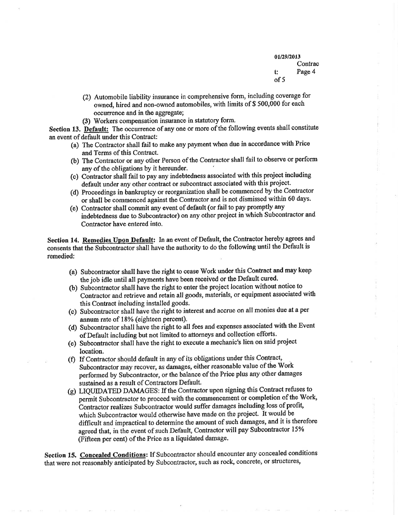01/29/2013 Contrac Page 4 t:  $of 5$ 

- (2) Automobile liability insurance in comprehensive form, including coverage for owned, hired and non-owned automobiles, with limits of \$500,000 for each occurrence and in the aggregate;
- (3) Workers compensation insurance in statutory form.

Section 13. Default: The occurrence of any one or more of the following events shall constitute an event of default under this Contract:

- (a) The Contractor shall fail to make any payment when due in accordance with Price and Terms of this Contract.
- (b) The Contractor or any other Person of the Contractor shall fail to observe or perform any of the obligations by it hereunder.
- (c) Contractor shall fail to pay any indebtedness associated with this project including default under any other contract or subcontract associated with this project.
- (d) Proceedings in bankruptcy or reorganization shall be commenced by the Contractor or shall be commenced against the Contractor and is not dismissed within 60 days.
- (e) Contractor shall commit any event of default (or fail to pay promptly any indebtedness due to Subcontractor) on any other project in which Subcontractor and Contractor have entered into.

Section 14. Remedies Upon Default: In an event of Default, the Contractor hereby agrees and consents that the Subcontractor shall have the authority to do the following until the Default is remedied:

- (a) Subcontractor shall have the right to cease Work under this Contract and may keep the job idle until all payments have been received or the Default cured.
- (b) Subcontractor shall have the right to enter the project location without notice to Contractor and retrieve and retain all goods, materials, or equipment associated with this Contract including installed goods.
- (c) Subcontractor shall have the right to interest and accrue on all monies due at a per annum rate of 18% (eighteen percent).
- (d) Subcontractor shall have the right to all fees and expenses associated with the Event of Default including but not limited to attorneys and collection efforts.
- (e) Subcontractor shall have the right to execute a mechanic's lien on said project location.
- (f) If Contractor should default in any of its obligations under this Contract, Subcontractor may recover, as damages, either reasonable value of the Work performed by Subcontractor, or the balance of the Price plus any other damages sustained as a result of Contractors Default.
- (g) LIQUIDATED DAMAGES: If the Contractor upon signing this Contract refuses to permit Subcontractor to proceed with the commencement or completion of the Work, Contractor realizes Subcontractor would suffer damages including loss of profit, which Subcontractor would otherwise have made on the project. It would be difficult and impractical to determine the amount of such damages, and it is therefore agreed that, in the event of such Default, Contractor will pay Subcontractor 15% (Fifteen per cent) of the Price as a liquidated damage.

Section 15. Concealed Conditions: If Subcontractor should encounter any concealed conditions that were not reasonably anticipated by Subcontractor, such as rock, concrete, or structures,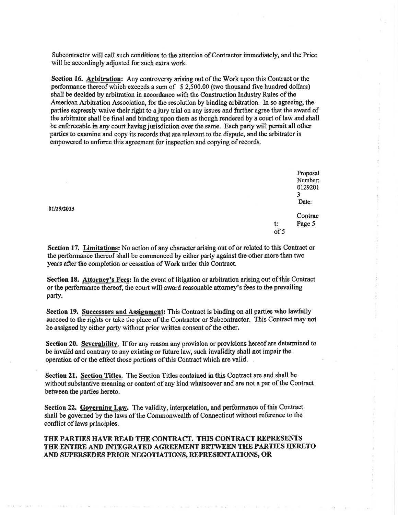Subcontractor will call such conditions to the attention of Contractor immediately, and the Price will be accordingly adjusted for such extra work.

Section 16. Arbitration: Any controversy arising out of the Work upon this Contract or the performance thereof which exceeds a sum of \$2,500.00 (two thousand five hundred dollars) shall be decided by arbitration in accordance with the Construction Industry Rules of the American Arbitration Association, for the resolution by binding arbitration. In so agreeing, the parties expressly waive their right to a jury trial on any issues and further agree that the award of the arbitrator shall be final and binding upon them as though rendered by a court of law and shall be enforceable in any court having jurisdiction over the same. Each party will permit all other parties to examine and copy its records that are relevant to the dispute, and the arbitrator is empowered to enforce this agreement for inspection and copying of records.

> Proposal Number: 0129201  $\overline{\mathbf{3}}$ Date:

Contrac Page 5 t:  $of 5$ 

Section 17. Limitations: No action of any character arising out of or related to this Contract or the performance thereof shall be commenced by either party against the other more than two years after the completion or cessation of Work under this Contract.

Section 18. Attorney's Fees: In the event of litigation or arbitration arising out of this Contract or the performance thereof, the court will award reasonable attorney's fees to the prevailing party.

Section 19. Successors and Assignment: This Contract is binding on all parties who lawfully succeed to the rights or take the place of the Contractor or Subcontractor. This Contract may not be assigned by either party without prior written consent of the other.

Section 20. Severability. If for any reason any provision or provisions hereof are determined to be invalid and contrary to any existing or future law, such invalidity shall not impair the operation of or the effect those portions of this Contract which are valid.

Section 21. Section Titles. The Section Titles contained in this Contract are and shall be without substantive meaning or content of any kind whatsoever and are not a par of the Contract between the parties hereto.

Section 22. Governing Law. The validity, interpretation, and performance of this Contract shall be governed by the laws of the Commonwealth of Connecticut without reference to the conflict of laws principles.

#### THE PARTIES HAVE READ THE CONTRACT. THIS CONTRACT REPRESENTS THE ENTIRE AND INTEGRATED AGREEMENT BETWEEN THE PARTIES HERETO AND SUPERSEDES PRIOR NEGOTIATIONS, REPRESENTATIONS, OR

01/29/2013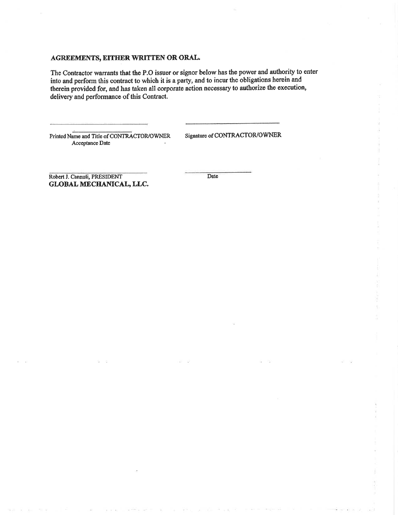### AGREEMENTS, EITHER WRITTEN OR ORAL.

The Contractor warrants that the P.O issuer or signor below has the power and authority to enter into and perform this contract to which it is a party, and to incur the obligations herein and therein provided for, and has taken all corporate action necessary to authorize the execution, delivery and performance of this Contract.

Printed Name and Title of CONTRACTOR/OWNER Acceptance Date

Signature of CONTRACTOR/OWNER

Robert J. Cannuli, PRESIDENT GLOBAL MECHANICAL, LLC. Date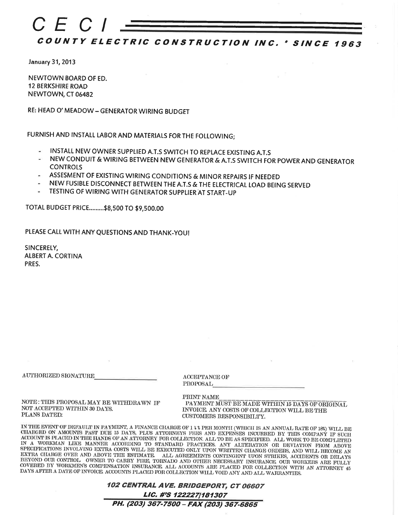

January 31, 2013

NEWTOWN BOARD OF ED. **12 BERKSHIRE ROAD** NEWTOWN, CT 06482

RE: HEAD O' MEADOW - GENERATOR WIRING BUDGET

FURNISH AND INSTALL LABOR AND MATERIALS FOR THE FOLLOWING;

- INSTALL NEW OWNER SUPPLIED A.T.S SWITCH TO REPLACE EXISTING A.T.S
- NEW CONDUIT & WIRING BETWEEN NEW GENERATOR & A.T.S SWITCH FOR POWER AND GENERATOR **CONTROLS**
- ASSESMENT OF EXISTING WIRING CONDITIONS & MINOR REPAIRS IF NEEDED
- NEW FUSIBLE DISCONNECT BETWEEN THE A.T.S & THE ELECTRICAL LOAD BEING SERVED
- TESTING OF WIRING WITH GENERATOR SUPPLIER AT START-UP

TOTAL BUDGET PRICE.........\$8,500 TO \$9,500.00

PLEASE CALL WITH ANY QUESTIONS AND THANK-YOU!

SINCERELY, **ALBERT A. CORTINA** PRES.

AUTHORIZED SIGNATURE

ACCEPTANCE OF PROPOSAL

NOTE: THIS PROPOSAL MAY BE WITHDRAWN IF NOT ACCEPTED WITHIN 30 DAYS. PLANS DATED:

PRINT NAME PAYMENT MUST BE MADE WITHIN 15 DAYS OF ORIGINAL INVOICE. ANY COSTS OF COLLECTION WILL BE THE **CUSTOMERS RESPONSIBILITY.** 

IN THE EVENT OF DEFAULT IN PAYMENT, A FINANCE CHARGE OF 1 % \$ PER MONTH (WHICH IS AN ANNUAL RATE OF 18%) WILL BE<br>CHARGED ON AMOUNTS PAST DUE 15 DAYS, PLUS ATTORNEYS FEES AND EXPENSES INCURRED BY THIS COMPANY IF SUCH ACCOUNT IS PLACED IN THE HANDS OF AN ATTORNEY FOR COLLECTION. ALL TO BE AS SPECIFIED. ALL WORK TO BE COMPLETED IN A WORKMAN LIKE MANNER ACCORDING TO STANDARD PRACTICES. ANY ALTERATION OR DEVIATION FROM ABOVE SPECIFICATIONS INVOLVING EXTRA COSTS WILL BE EXECUTED ONLY UPON WRITTEN CHANGE ORDERS, AND WILL BECOME AN EXTRA CHARGE OVER AND ABOVE THE ESTIMATE. ALL AGREEMENTS CONTINGENT UPON STRIKES, ACCIDENTS OR DELAYS BEYOND OUR CONTROL OWNER TO CARRY FIRE, TORNADO AND OTHER NECESSARY INSURANCE OUR WORKERS ARE FULLY COVERED BY WORKMEN'S COMPENSATION INSURANCE ALL ACCOUNTS ARE PLACED FOR COLLECTION WITH AN ATTORNEY 45 DAYS AFTER A DATE OF INVOICE ACCOUNTS PLACED FOR COLLECTION WILL VOID ANY AND ALL WARRANTIES.

| 102 CENTRAL AVE. BRIDGEPORT, CT 06607   |
|-----------------------------------------|
| LIC. #'S 122227/181307                  |
| PH. (203) 367-7500 - FAX (203) 367-6865 |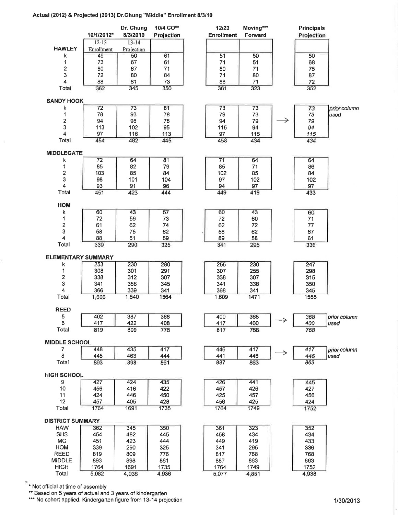#### Actual (2012) & Projected (2013) Dr.Chung "Middle" Enrollment 8/3/10



\* Not official at time of assembly

\*\* Based on 5 years of actual and 3 years of kindergarten

\*\*\* No cohort applied. Kindergarten figure from 13-14 projection